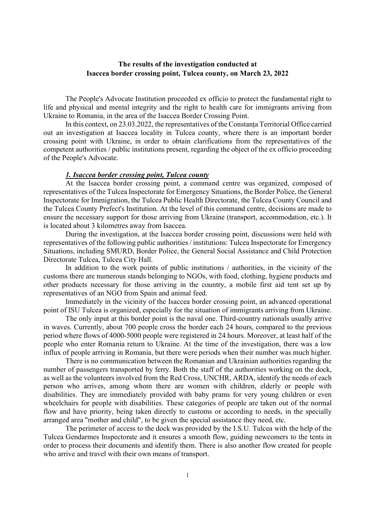## The results of the investigation conducted at Isaccea border crossing point, Tulcea county, on March 23, 2022

The People's Advocate Institution proceeded ex officio to protect the fundamental right to life and physical and mental integrity and the right to health care for immigrants arriving from Ukraine to Romania, in the area of the Isaccea Border Crossing Point.

In this context, on 23.03.2022, the representatives of the Constanța Territorial Office carried out an investigation at Isaccea locality in Tulcea county, where there is an important border crossing point with Ukraine, in order to obtain clarifications from the representatives of the competent authorities / public institutions present, regarding the object of the ex officio proceeding of the People's Advocate.

### 1. Isaccea border crossing point, Tulcea county

At the Isaccea border crossing point, a command centre was organized, composed of representatives of the Tulcea Inspectorate for Emergency Situations, the Border Police, the General Inspectorate for Immigration, the Tulcea Public Health Directorate, the Tulcea County Council and the Tulcea County Prefect's Institution. At the level of this command centre, decisions are made to ensure the necessary support for those arriving from Ukraine (transport, accommodation, etc.). It is located about 3 kilometres away from Isaccea.

During the investigation, at the Isaccea border crossing point, discussions were held with representatives of the following public authorities / institutions: Tulcea Inspectorate for Emergency Situations, including SMURD, Border Police, the General Social Assistance and Child Protection Directorate Tulcea, Tulcea City Hall.

In addition to the work points of public institutions / authorities, in the vicinity of the customs there are numerous stands belonging to NGOs, with food, clothing, hygiene products and other products necessary for those arriving in the country, a mobile first aid tent set up by representatives of an NGO from Spain and animal feed.

Immediately in the vicinity of the Isaccea border crossing point, an advanced operational point of ISU Tulcea is organized, especially for the situation of immigrants arriving from Ukraine.

The only input at this border point is the naval one. Third-country nationals usually arrive in waves. Currently, about 700 people cross the border each 24 hours, compared to the previous period where flows of 4000-5000 people were registered in 24 hours. Moreover, at least half of the people who enter Romania return to Ukraine. At the time of the investigation, there was a low influx of people arriving in Romania, but there were periods when their number was much higher.

There is no communication between the Romanian and Ukrainian authorities regarding the number of passengers transported by ferry. Both the staff of the authorities working on the dock, as well as the volunteers involved from the Red Cross, UNCHR, ARDA, identify the needs of each person who arrives, among whom there are women with children, elderly or people with disabilities. They are immediately provided with baby prams for very young children or even wheelchairs for people with disabilities. These categories of people are taken out of the normal flow and have priority, being taken directly to customs or according to needs, in the specially arranged area "mother and child", to be given the special assistance they need, etc.

The perimeter of access to the dock was provided by the I.S.U. Tulcea with the help of the Tulcea Gendarmes Inspectorate and it ensures a smooth flow, guiding newcomers to the tents in order to process their documents and identify them. There is also another flow created for people who arrive and travel with their own means of transport.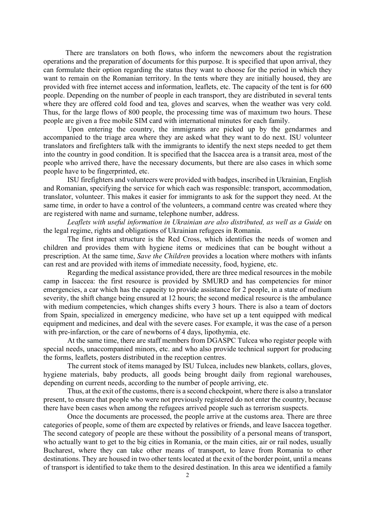There are translators on both flows, who inform the newcomers about the registration operations and the preparation of documents for this purpose. It is specified that upon arrival, they can formulate their option regarding the status they want to choose for the period in which they want to remain on the Romanian territory. In the tents where they are initially housed, they are provided with free internet access and information, leaflets, etc. The capacity of the tent is for 600 people. Depending on the number of people in each transport, they are distributed in several tents where they are offered cold food and tea, gloves and scarves, when the weather was very cold. Thus, for the large flows of 800 people, the processing time was of maximum two hours. These people are given a free mobile SIM card with international minutes for each family.

Upon entering the country, the immigrants are picked up by the gendarmes and accompanied to the triage area where they are asked what they want to do next. ISU volunteer translators and firefighters talk with the immigrants to identify the next steps needed to get them into the country in good condition. It is specified that the Isaccea area is a transit area, most of the people who arrived there, have the necessary documents, but there are also cases in which some people have to be fingerprinted, etc.

ISU firefighters and volunteers were provided with badges, inscribed in Ukrainian, English and Romanian, specifying the service for which each was responsible: transport, accommodation, translator, volunteer. This makes it easier for immigrants to ask for the support they need. At the same time, in order to have a control of the volunteers, a command centre was created where they are registered with name and surname, telephone number, address.

Leaflets with useful information in Ukrainian are also distributed, as well as a Guide on the legal regime, rights and obligations of Ukrainian refugees in Romania.

The first impact structure is the Red Cross, which identifies the needs of women and children and provides them with hygiene items or medicines that can be bought without a prescription. At the same time, Save the Children provides a location where mothers with infants can rest and are provided with items of immediate necessity, food, hygiene, etc.

Regarding the medical assistance provided, there are three medical resources in the mobile camp in Isaccea: the first resource is provided by SMURD and has competencies for minor emergencies, a car which has the capacity to provide assistance for 2 people, in a state of medium severity, the shift change being ensured at 12 hours; the second medical resource is the ambulance with medium competencies, which changes shifts every 3 hours. There is also a team of doctors from Spain, specialized in emergency medicine, who have set up a tent equipped with medical equipment and medicines, and deal with the severe cases. For example, it was the case of a person with pre-infarction, or the care of newborns of 4 days, lipothymia, etc.

At the same time, there are staff members from DGASPC Tulcea who register people with special needs, unaccompanied minors, etc. and who also provide technical support for producing the forms, leaflets, posters distributed in the reception centres.

The current stock of items managed by ISU Tulcea, includes new blankets, collars, gloves, hygiene materials, baby products, all goods being brought daily from regional warehouses, depending on current needs, according to the number of people arriving, etc.

Thus, at the exit of the customs, there is a second checkpoint, where there is also a translator present, to ensure that people who were not previously registered do not enter the country, because there have been cases when among the refugees arrived people such as terrorism suspects.

Once the documents are processed, the people arrive at the customs area. There are three categories of people, some of them are expected by relatives or friends, and leave Isaccea together. The second category of people are these without the possibility of a personal means of transport, who actually want to get to the big cities in Romania, or the main cities, air or rail nodes, usually Bucharest, where they can take other means of transport, to leave from Romania to other destinations. They are housed in two other tents located at the exit of the border point, until a means of transport is identified to take them to the desired destination. In this area we identified a family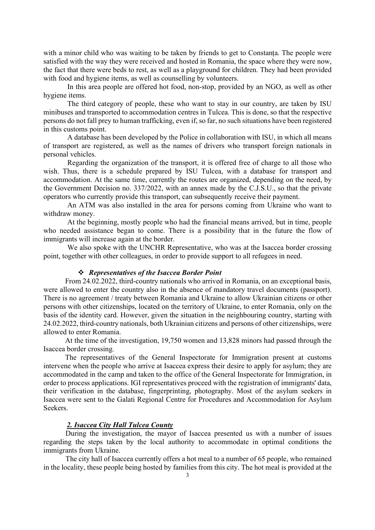with a minor child who was waiting to be taken by friends to get to Constanța. The people were satisfied with the way they were received and hosted in Romania, the space where they were now, the fact that there were beds to rest, as well as a playground for children. They had been provided with food and hygiene items, as well as counselling by volunteers.

In this area people are offered hot food, non-stop, provided by an NGO, as well as other hygiene items.

The third category of people, these who want to stay in our country, are taken by ISU minibuses and transported to accommodation centres in Tulcea. This is done, so that the respective persons do not fall prey to human trafficking, even if, so far, no such situations have been registered in this customs point.

A database has been developed by the Police in collaboration with ISU, in which all means of transport are registered, as well as the names of drivers who transport foreign nationals in personal vehicles.

Regarding the organization of the transport, it is offered free of charge to all those who wish. Thus, there is a schedule prepared by ISU Tulcea, with a database for transport and accommodation. At the same time, currently the routes are organized, depending on the need, by the Government Decision no. 337/2022, with an annex made by the C.J.S.U., so that the private operators who currently provide this transport, can subsequently receive their payment.

An ATM was also installed in the area for persons coming from Ukraine who want to withdraw money.

At the beginning, mostly people who had the financial means arrived, but in time, people who needed assistance began to come. There is a possibility that in the future the flow of immigrants will increase again at the border.

We also spoke with the UNCHR Representative, who was at the Isaccea border crossing point, together with other colleagues, in order to provide support to all refugees in need.

# Representatives of the Isaccea Border Point

From 24.02.2022, third-country nationals who arrived in Romania, on an exceptional basis, were allowed to enter the country also in the absence of mandatory travel documents (passport). There is no agreement / treaty between Romania and Ukraine to allow Ukrainian citizens or other persons with other citizenships, located on the territory of Ukraine, to enter Romania, only on the basis of the identity card. However, given the situation in the neighbouring country, starting with 24.02.2022, third-country nationals, both Ukrainian citizens and persons of other citizenships, were allowed to enter Romania.

At the time of the investigation, 19,750 women and 13,828 minors had passed through the Isaccea border crossing.

The representatives of the General Inspectorate for Immigration present at customs intervene when the people who arrive at Isaccea express their desire to apply for asylum; they are accommodated in the camp and taken to the office of the General Inspectorate for Immigration, in order to process applications. IGI representatives proceed with the registration of immigrants' data, their verification in the database, fingerprinting, photography. Most of the asylum seekers in Isaccea were sent to the Galati Regional Centre for Procedures and Accommodation for Asylum Seekers.

#### 2. Isaccea City Hall Tulcea County

During the investigation, the mayor of Isaccea presented us with a number of issues regarding the steps taken by the local authority to accommodate in optimal conditions the immigrants from Ukraine.

The city hall of Isaccea currently offers a hot meal to a number of 65 people, who remained in the locality, these people being hosted by families from this city. The hot meal is provided at the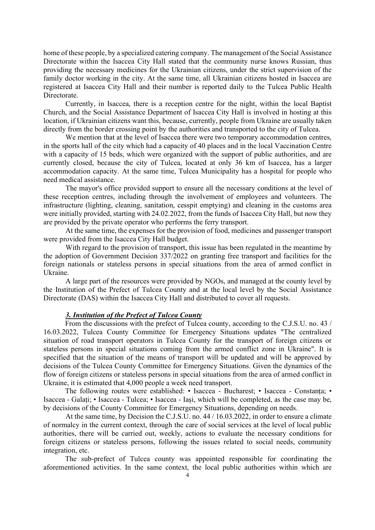home of these people, by a specialized catering company. The management of the Social Assistance Directorate within the Isaccea City Hall stated that the community nurse knows Russian, thus providing the necessary medicines for the Ukrainian citizens, under the strict supervision of the family doctor working in the city. At the same time, all Ukrainian citizens hosted in Isaccea are registered at Isaccea City Hall and their number is reported daily to the Tulcea Public Health Directorate.

Currently, in Isaccea, there is a reception centre for the night, within the local Baptist Church, and the Social Assistance Department of Isaccea City Hall is involved in hosting at this location, if Ukrainian citizens want this, because, currently, people from Ukraine are usually taken directly from the border crossing point by the authorities and transported to the city of Tulcea.

We mention that at the level of Isaccea there were two temporary accommodation centres, in the sports hall of the city which had a capacity of 40 places and in the local Vaccination Centre with a capacity of 15 beds, which were organized with the support of public authorities, and are currently closed, because the city of Tulcea, located at only 36 km of Isaccea, has a larger accommodation capacity. At the same time, Tulcea Municipality has a hospital for people who need medical assistance.

The mayor's office provided support to ensure all the necessary conditions at the level of these reception centres, including through the involvement of employees and volunteers. The infrastructure (lighting, cleaning, sanitation, cesspit emptying) and cleaning in the customs area were initially provided, starting with 24.02.2022, from the funds of Isaccea City Hall, but now they are provided by the private operator who performs the ferry transport.

At the same time, the expenses for the provision of food, medicines and passenger transport were provided from the Isaccea City Hall budget.

With regard to the provision of transport, this issue has been regulated in the meantime by the adoption of Government Decision 337/2022 on granting free transport and facilities for the foreign nationals or stateless persons in special situations from the area of armed conflict in Ukraine.

A large part of the resources were provided by NGOs, and managed at the county level by the Institution of the Prefect of Tulcea County and at the local level by the Social Assistance Directorate (DAS) within the Isaccea City Hall and distributed to cover all requests.

### 3. Institution of the Prefect of Tulcea County

 From the discussions with the prefect of Tulcea county, according to the C.J.S.U. no. 43 / 16.03.2022, Tulcea County Committee for Emergency Situations updates "The centralized situation of road transport operators in Tulcea County for the transport of foreign citizens or stateless persons in special situations coming from the armed conflict zone in Ukraine". It is specified that the situation of the means of transport will be updated and will be approved by decisions of the Tulcea County Committee for Emergency Situations. Given the dynamics of the flow of foreign citizens or stateless persons in special situations from the area of armed conflict in Ukraine, it is estimated that 4,000 people a week need transport.

 The following routes were established: • Isaccea - Bucharest; • Isaccea - Constanța; • Isaccea - Galați; • Isaccea - Tulcea; • Isaccea - Iași, which will be completed, as the case may be, by decisions of the County Committee for Emergency Situations, depending on needs.

At the same time, by Decision the C.J.S.U. no. 44 / 16.03.2022, in order to ensure a climate of normalcy in the current context, through the care of social services at the level of local public authorities, there will be carried out, weekly, actions to evaluate the necessary conditions for foreign citizens or stateless persons, following the issues related to social needs, community integration, etc.

 The sub-prefect of Tulcea county was appointed responsible for coordinating the aforementioned activities. In the same context, the local public authorities within which are